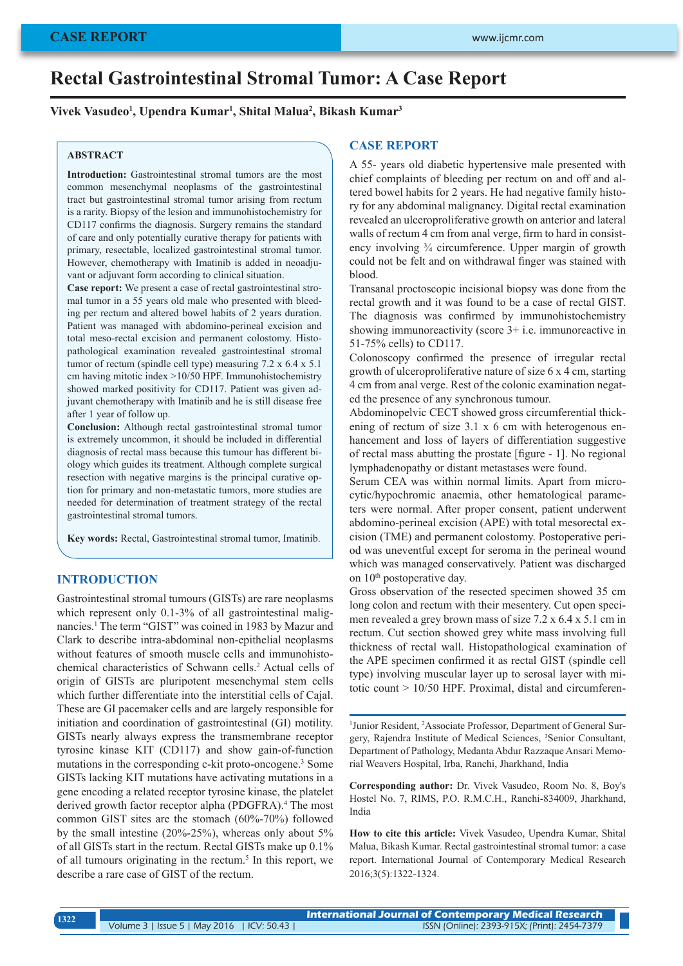# **Rectal Gastrointestinal Stromal Tumor: A Case Report**

**Vivek Vasudeo1 , Upendra Kumar1 , Shital Malua2 , Bikash Kumar3**

#### **ABSTRACT**

**Introduction:** Gastrointestinal stromal tumors are the most common mesenchymal neoplasms of the gastrointestinal tract but gastrointestinal stromal tumor arising from rectum is a rarity. Biopsy of the lesion and immunohistochemistry for CD117 confirms the diagnosis. Surgery remains the standard of care and only potentially curative therapy for patients with primary, resectable, localized gastrointestinal stromal tumor. However, chemotherapy with Imatinib is added in neoadjuvant or adjuvant form according to clinical situation.

**Case report:** We present a case of rectal gastrointestinal stromal tumor in a 55 years old male who presented with bleeding per rectum and altered bowel habits of 2 years duration. Patient was managed with abdomino-perineal excision and total meso-rectal excision and permanent colostomy. Histopathological examination revealed gastrointestinal stromal tumor of rectum (spindle cell type) measuring 7.2 x 6.4 x 5.1 cm having mitotic index >10/50 HPF. Immunohistochemistry showed marked positivity for CD117. Patient was given adjuvant chemotherapy with Imatinib and he is still disease free after 1 year of follow up.

**Conclusion:** Although rectal gastrointestinal stromal tumor is extremely uncommon, it should be included in differential diagnosis of rectal mass because this tumour has different biology which guides its treatment. Although complete surgical resection with negative margins is the principal curative option for primary and non-metastatic tumors, more studies are needed for determination of treatment strategy of the rectal gastrointestinal stromal tumors.

**Key words:** Rectal, Gastrointestinal stromal tumor, Imatinib.

## **INTRODUCTION**

Gastrointestinal stromal tumours (GISTs) are rare neoplasms which represent only 0.1-3% of all gastrointestinal malignancies.1 The term "GIST" was coined in 1983 by Mazur and Clark to describe intra-abdominal non-epithelial neoplasms without features of smooth muscle cells and immunohistochemical characteristics of Schwann cells.<sup>2</sup> Actual cells of origin of GISTs are pluripotent mesenchymal stem cells which further differentiate into the interstitial cells of Cajal. These are GI pacemaker cells and are largely responsible for initiation and coordination of gastrointestinal (GI) motility. GISTs nearly always express the transmembrane receptor tyrosine kinase KIT (CD117) and show gain-of-function mutations in the corresponding c-kit proto-oncogene.<sup>3</sup> Some GISTs lacking KIT mutations have activating mutations in a gene encoding a related receptor tyrosine kinase, the platelet derived growth factor receptor alpha (PDGFRA).<sup>4</sup> The most common GIST sites are the stomach (60%-70%) followed by the small intestine (20%-25%), whereas only about 5% of all GISTs start in the rectum. Rectal GISTs make up 0.1% of all tumours originating in the rectum.<sup>5</sup> In this report, we describe a rare case of GIST of the rectum.

## **CASE REPORT**

A 55- years old diabetic hypertensive male presented with chief complaints of bleeding per rectum on and off and altered bowel habits for 2 years. He had negative family history for any abdominal malignancy. Digital rectal examination revealed an ulceroproliferative growth on anterior and lateral walls of rectum 4 cm from anal verge, firm to hard in consistency involving ¾ circumference. Upper margin of growth could not be felt and on withdrawal finger was stained with blood.

Transanal proctoscopic incisional biopsy was done from the rectal growth and it was found to be a case of rectal GIST. The diagnosis was confirmed by immunohistochemistry showing immunoreactivity (score 3+ i.e. immunoreactive in 51-75% cells) to CD117.

Colonoscopy confirmed the presence of irregular rectal growth of ulceroproliferative nature of size 6 x 4 cm, starting 4 cm from anal verge. Rest of the colonic examination negated the presence of any synchronous tumour.

Abdominopelvic CECT showed gross circumferential thickening of rectum of size 3.1 x 6 cm with heterogenous enhancement and loss of layers of differentiation suggestive of rectal mass abutting the prostate [figure - 1]. No regional lymphadenopathy or distant metastases were found.

Serum CEA was within normal limits. Apart from microcytic/hypochromic anaemia, other hematological parameters were normal. After proper consent, patient underwent abdomino-perineal excision (APE) with total mesorectal excision (TME) and permanent colostomy. Postoperative period was uneventful except for seroma in the perineal wound which was managed conservatively. Patient was discharged on 10<sup>th</sup> postoperative day.

Gross observation of the resected specimen showed 35 cm long colon and rectum with their mesentery. Cut open specimen revealed a grey brown mass of size 7.2 x 6.4 x 5.1 cm in rectum. Cut section showed grey white mass involving full thickness of rectal wall. Histopathological examination of the APE specimen confirmed it as rectal GIST (spindle cell type) involving muscular layer up to serosal layer with mitotic count > 10/50 HPF. Proximal, distal and circumferen-

<sup>1</sup>Junior Resident, <sup>2</sup>Associate Professor, Department of General Surgery, Rajendra Institute of Medical Sciences, <sup>3</sup>Senior Consultant, Department of Pathology, Medanta Abdur Razzaque Ansari Memorial Weavers Hospital, Irba, Ranchi, Jharkhand, India

**Corresponding author:** Dr. Vivek Vasudeo, Room No. 8, Boy's Hostel No. 7, RIMS, P.O. R.M.C.H., Ranchi-834009, Jharkhand, India

**How to cite this article:** Vivek Vasudeo, Upendra Kumar, Shital Malua, Bikash Kumar. Rectal gastrointestinal stromal tumor: a case report. International Journal of Contemporary Medical Research 2016;3(5):1322-1324.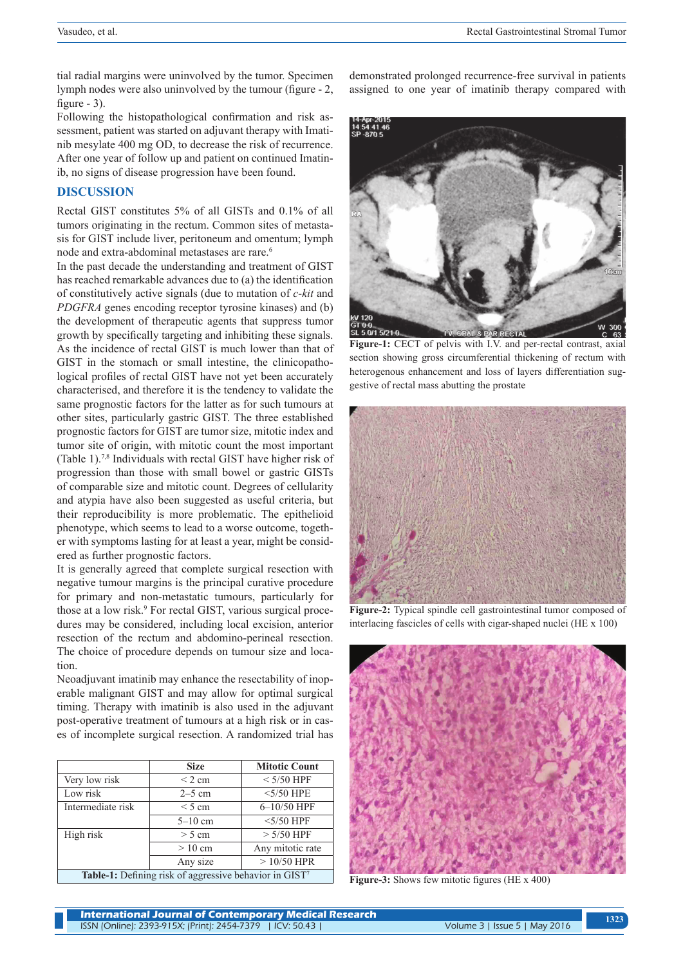tial radial margins were uninvolved by the tumor. Specimen lymph nodes were also uninvolved by the tumour (figure - 2, figure  $-3$ ).

Following the histopathological confirmation and risk assessment, patient was started on adjuvant therapy with Imatinib mesylate 400 mg OD, to decrease the risk of recurrence. After one year of follow up and patient on continued Imatinib, no signs of disease progression have been found.

#### **DISCUSSION**

Rectal GIST constitutes 5% of all GISTs and 0.1% of all tumors originating in the rectum. Common sites of metastasis for GIST include liver, peritoneum and omentum; lymph node and extra-abdominal metastases are rare.<sup>6</sup>

In the past decade the understanding and treatment of GIST has reached remarkable advances due to (a) the identification of constitutively active signals (due to mutation of *c-kit* and *PDGFRA* genes encoding receptor tyrosine kinases) and (b) the development of therapeutic agents that suppress tumor growth by specifically targeting and inhibiting these signals. As the incidence of rectal GIST is much lower than that of GIST in the stomach or small intestine, the clinicopathological profiles of rectal GIST have not yet been accurately characterised, and therefore it is the tendency to validate the same prognostic factors for the latter as for such tumours at other sites, particularly gastric GIST. The three established prognostic factors for GIST are tumor size, mitotic index and tumor site of origin, with mitotic count the most important (Table 1).7,8 Individuals with rectal GIST have higher risk of progression than those with small bowel or gastric GISTs of comparable size and mitotic count. Degrees of cellularity and atypia have also been suggested as useful criteria, but their reproducibility is more problematic. The epithelioid phenotype, which seems to lead to a worse outcome, together with symptoms lasting for at least a year, might be considered as further prognostic factors.

It is generally agreed that complete surgical resection with negative tumour margins is the principal curative procedure for primary and non-metastatic tumours, particularly for those at a low risk.<sup>9</sup> For rectal GIST, various surgical procedures may be considered, including local excision, anterior resection of the rectum and abdomino-perineal resection. The choice of procedure depends on tumour size and location.

Neoadjuvant imatinib may enhance the resectability of inoperable malignant GIST and may allow for optimal surgical timing. Therapy with imatinib is also used in the adjuvant post-operative treatment of tumours at a high risk or in cases of incomplete surgical resection. A randomized trial has

|                                                        | <b>Size</b> | <b>Mitotic Count</b> |
|--------------------------------------------------------|-------------|----------------------|
| Very low risk                                          | $\leq$ 2 cm | $<$ 5/50 HPF         |
| Low risk                                               | $2-5$ cm    | $<$ 5/50 HPE         |
| Intermediate risk                                      | $\leq$ 5 cm | $6 - 10/50$ HPF      |
|                                                        | $5-10$ cm   | $<$ 5/50 HPF         |
| High risk                                              | $> 5$ cm    | $> 5/50$ HPF         |
|                                                        | $>10$ cm    | Any mitotic rate     |
|                                                        | Any size    | $>10/50$ HPR         |
| Table-1: Defining risk of aggressive behavior in GIST7 |             |                      |

demonstrated prolonged recurrence-free survival in patients assigned to one year of imatinib therapy compared with



**Figure-1:** CECT of pelvis with I.V. and per-rectal contrast, axial section showing gross circumferential thickening of rectum with heterogenous enhancement and loss of layers differentiation suggestive of rectal mass abutting the prostate



**Figure-2:** Typical spindle cell gastrointestinal tumor composed of interlacing fascicles of cells with cigar-shaped nuclei (HE x 100)



**Figure-3:** Shows few mitotic figures (HE x 400)